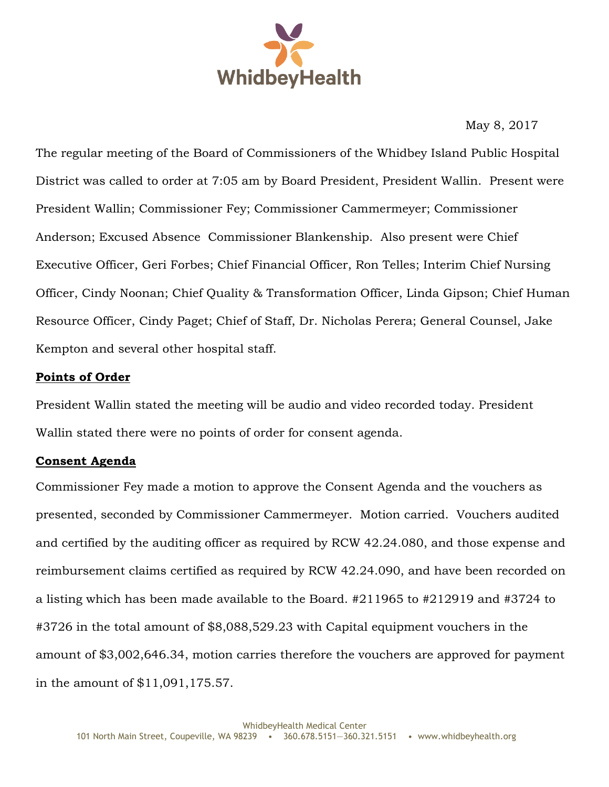

May 8, 2017

The regular meeting of the Board of Commissioners of the Whidbey Island Public Hospital District was called to order at 7:05 am by Board President, President Wallin. Present were President Wallin; Commissioner Fey; Commissioner Cammermeyer; Commissioner Anderson; Excused Absence Commissioner Blankenship. Also present were Chief Executive Officer, Geri Forbes; Chief Financial Officer, Ron Telles; Interim Chief Nursing Officer, Cindy Noonan; Chief Quality & Transformation Officer, Linda Gipson; Chief Human Resource Officer, Cindy Paget; Chief of Staff, Dr. Nicholas Perera; General Counsel, Jake Kempton and several other hospital staff.

## **Points of Order**

President Wallin stated the meeting will be audio and video recorded today. President Wallin stated there were no points of order for consent agenda.

## **Consent Agenda**

Commissioner Fey made a motion to approve the Consent Agenda and the vouchers as presented, seconded by Commissioner Cammermeyer. Motion carried. Vouchers audited and certified by the auditing officer as required by RCW 42.24.080, and those expense and reimbursement claims certified as required by RCW 42.24.090, and have been recorded on a listing which has been made available to the Board. #211965 to #212919 and #3724 to #3726 in the total amount of \$8,088,529.23 with Capital equipment vouchers in the amount of \$3,002,646.34, motion carries therefore the vouchers are approved for payment in the amount of \$11,091,175.57.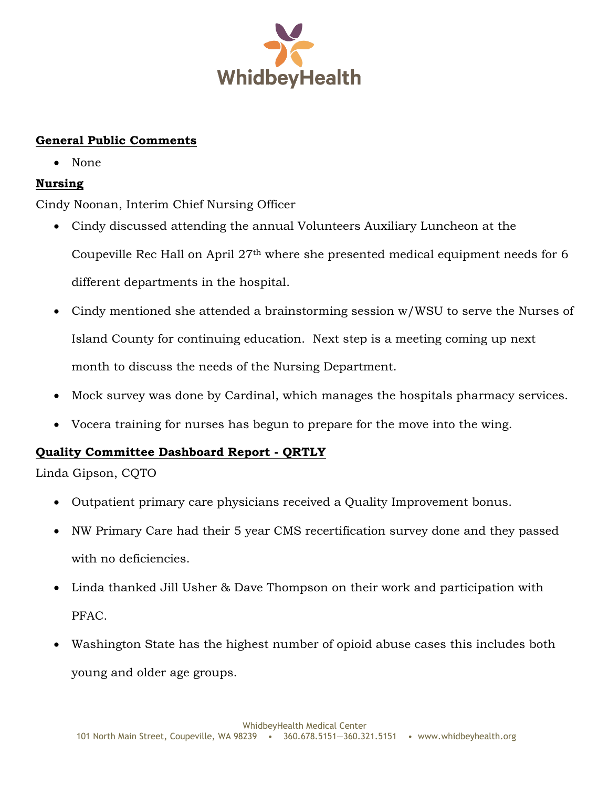

# **General Public Comments**

• None

# **Nursing**

Cindy Noonan, Interim Chief Nursing Officer

- Cindy discussed attending the annual Volunteers Auxiliary Luncheon at the Coupeville Rec Hall on April 27th where she presented medical equipment needs for 6 different departments in the hospital.
- Cindy mentioned she attended a brainstorming session w/WSU to serve the Nurses of Island County for continuing education. Next step is a meeting coming up next month to discuss the needs of the Nursing Department.
- Mock survey was done by Cardinal, which manages the hospitals pharmacy services.
- Vocera training for nurses has begun to prepare for the move into the wing.

## **Quality Committee Dashboard Report - QRTLY**

Linda Gipson, CQTO

- Outpatient primary care physicians received a Quality Improvement bonus.
- NW Primary Care had their 5 year CMS recertification survey done and they passed with no deficiencies.
- Linda thanked Jill Usher & Dave Thompson on their work and participation with PFAC.
- Washington State has the highest number of opioid abuse cases this includes both young and older age groups.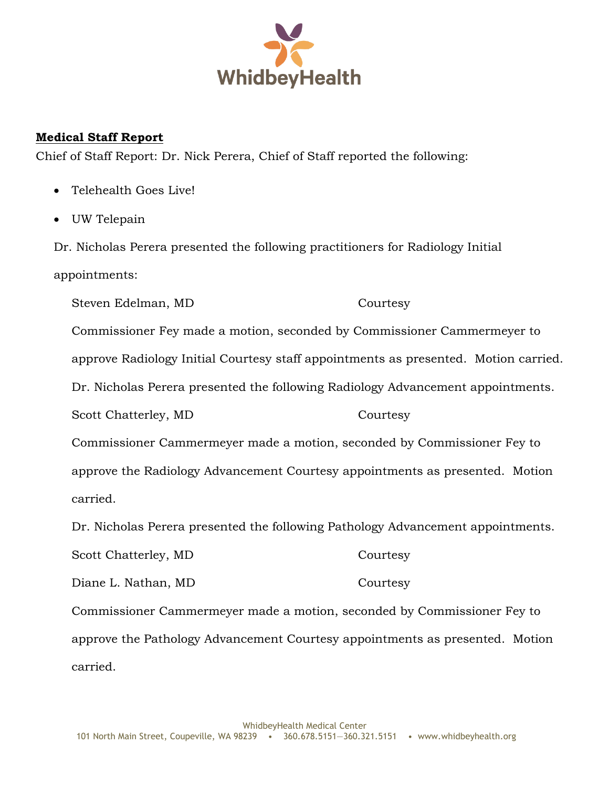

## **Medical Staff Report**

Chief of Staff Report: Dr. Nick Perera, Chief of Staff reported the following:

- Telehealth Goes Live!
- UW Telepain

Dr. Nicholas Perera presented the following practitioners for Radiology Initial appointments:

Steven Edelman, MD Courtesy Commissioner Fey made a motion, seconded by Commissioner Cammermeyer to approve Radiology Initial Courtesy staff appointments as presented. Motion carried. Dr. Nicholas Perera presented the following Radiology Advancement appointments. Scott Chatterley, MD Courtesy Commissioner Cammermeyer made a motion, seconded by Commissioner Fey to approve the Radiology Advancement Courtesy appointments as presented. Motion carried. Dr. Nicholas Perera presented the following Pathology Advancement appointments. Scott Chatterley, MD Courtesy Diane L. Nathan, MD Courtesy

Commissioner Cammermeyer made a motion, seconded by Commissioner Fey to approve the Pathology Advancement Courtesy appointments as presented. Motion carried.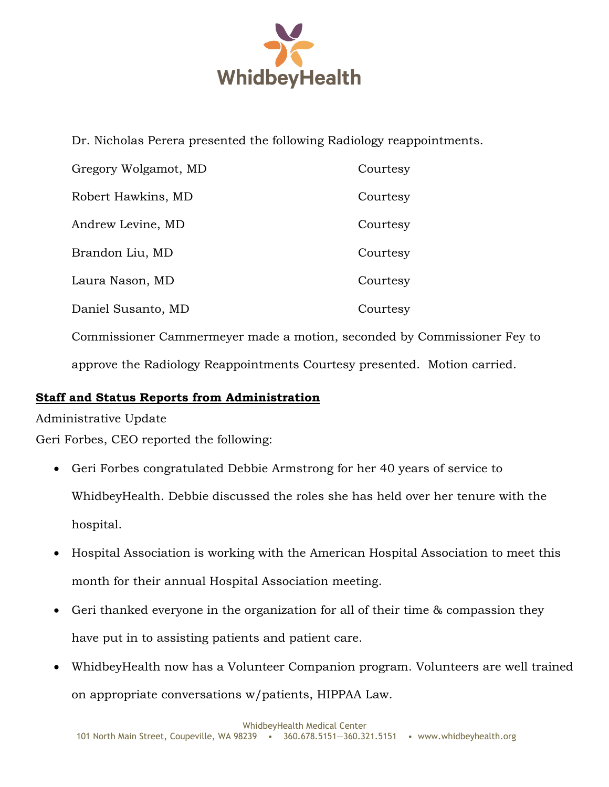

Dr. Nicholas Perera presented the following Radiology reappointments.

| Gregory Wolgamot, MD | Courtesy |
|----------------------|----------|
| Robert Hawkins, MD   | Courtesy |
| Andrew Levine, MD    | Courtesy |
| Brandon Liu, MD      | Courtesy |
| Laura Nason, MD      | Courtesy |
| Daniel Susanto, MD   | Courtesy |
|                      |          |

Commissioner Cammermeyer made a motion, seconded by Commissioner Fey to approve the Radiology Reappointments Courtesy presented. Motion carried.

# **Staff and Status Reports from Administration**

Administrative Update

Geri Forbes, CEO reported the following:

- Geri Forbes congratulated Debbie Armstrong for her 40 years of service to WhidbeyHealth. Debbie discussed the roles she has held over her tenure with the hospital.
- Hospital Association is working with the American Hospital Association to meet this month for their annual Hospital Association meeting.
- Geri thanked everyone in the organization for all of their time & compassion they have put in to assisting patients and patient care.
- WhidbeyHealth now has a Volunteer Companion program. Volunteers are well trained on appropriate conversations w/patients, HIPPAA Law.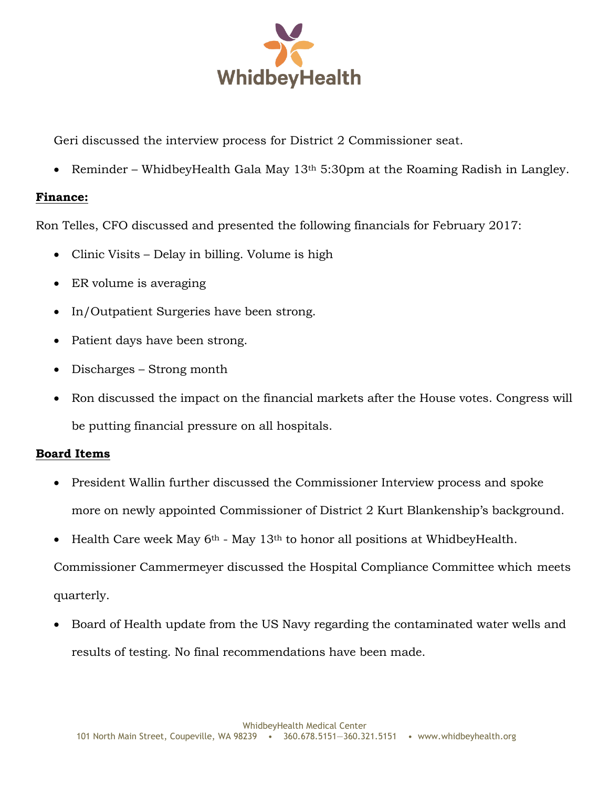

Geri discussed the interview process for District 2 Commissioner seat.

Reminder – WhidbeyHealth Gala May  $13<sup>th</sup> 5:30<sup>pm</sup>$  at the Roaming Radish in Langley.

#### **Finance:**

Ron Telles, CFO discussed and presented the following financials for February 2017:

- Clinic Visits Delay in billing. Volume is high
- ER volume is averaging
- In/Outpatient Surgeries have been strong.
- Patient days have been strong.
- Discharges Strong month
- Ron discussed the impact on the financial markets after the House votes. Congress will be putting financial pressure on all hospitals.

## **Board Items**

- President Wallin further discussed the Commissioner Interview process and spoke more on newly appointed Commissioner of District 2 Kurt Blankenship's background.
- Health Care week May  $6<sup>th</sup>$  May 13<sup>th</sup> to honor all positions at WhidbeyHealth.

Commissioner Cammermeyer discussed the Hospital Compliance Committee which meets quarterly.

 Board of Health update from the US Navy regarding the contaminated water wells and results of testing. No final recommendations have been made.